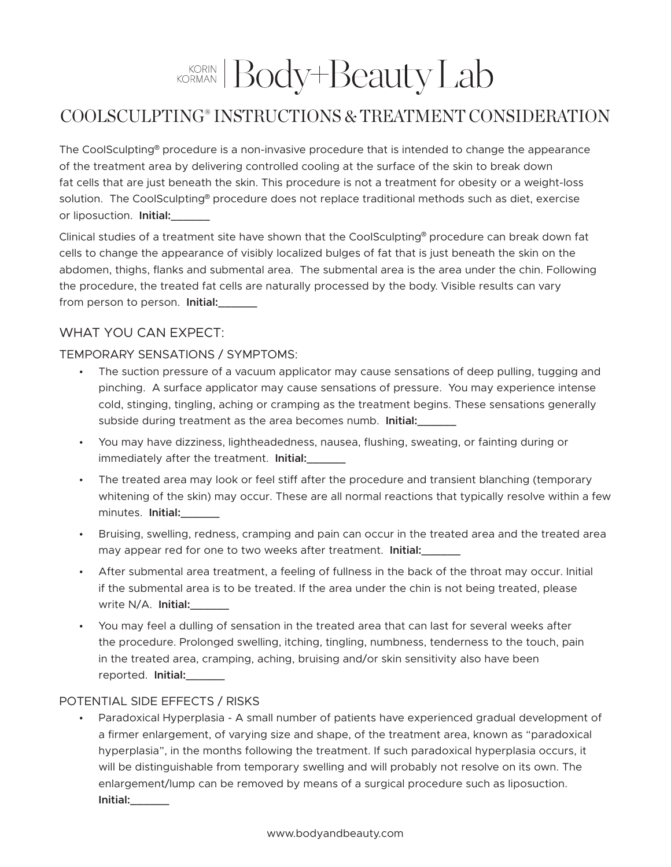# KORIAN Body+Beauty Lab

## COOLSCULPTING® INSTRUCTIONS & TREATMENT CONSIDERATION

The CoolSculpting® procedure is a non-invasive procedure that is intended to change the appearance of the treatment area by delivering controlled cooling at the surface of the skin to break down fat cells that are just beneath the skin. This procedure is not a treatment for obesity or a weight-loss solution. The CoolSculpting® procedure does not replace traditional methods such as diet, exercise or liposuction. **Initial:\_\_\_\_\_\_**

Clinical studies of a treatment site have shown that the CoolSculpting® procedure can break down fat cells to change the appearance of visibly localized bulges of fat that is just beneath the skin on the abdomen, thighs, flanks and submental area. The submental area is the area under the chin. Following the procedure, the treated fat cells are naturally processed by the body. Visible results can vary from person to person. **Initial:\_\_\_\_\_\_**

### WHAT YOU CAN EXPECT:

#### Temporary Sensations / Symptoms:

- The suction pressure of a vacuum applicator may cause sensations of deep pulling, tugging and pinching. A surface applicator may cause sensations of pressure. You may experience intense cold, stinging, tingling, aching or cramping as the treatment begins. These sensations generally subside during treatment as the area becomes numb. **Initial:\_\_\_\_\_\_**
- You may have dizziness, lightheadedness, nausea, flushing, sweating, or fainting during or immediately after the treatment. **Initial:**
- The treated area may look or feel stiff after the procedure and transient blanching (temporary whitening of the skin) may occur. These are all normal reactions that typically resolve within a few minutes. **Initial:\_\_\_\_\_\_**
- Bruising, swelling, redness, cramping and pain can occur in the treated area and the treated area may appear red for one to two weeks after treatment. **Initial:\_\_\_\_\_\_**
- After submental area treatment, a feeling of fullness in the back of the throat may occur. Initial if the submental area is to be treated. If the area under the chin is not being treated, please write N/A. **Initial:\_\_\_\_\_\_**
- You may feel a dulling of sensation in the treated area that can last for several weeks after the procedure. Prolonged swelling, itching, tingling, numbness, tenderness to the touch, pain in the treated area, cramping, aching, bruising and/or skin sensitivity also have been reported. **Initial:\_\_\_\_\_\_**

#### Potential Side Effects / Risks

• Paradoxical Hyperplasia - A small number of patients have experienced gradual development of a firmer enlargement, of varying size and shape, of the treatment area, known as "paradoxical hyperplasia", in the months following the treatment. If such paradoxical hyperplasia occurs, it will be distinguishable from temporary swelling and will probably not resolve on its own. The enlargement/lump can be removed by means of a surgical procedure such as liposuction. **Initial:\_\_\_\_\_\_**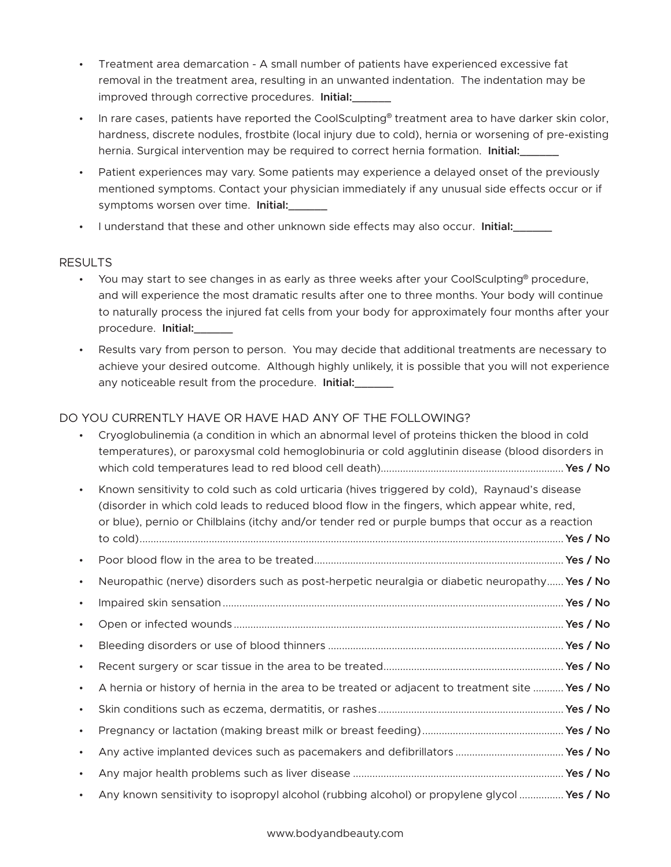- Treatment area demarcation A small number of patients have experienced excessive fat removal in the treatment area, resulting in an unwanted indentation. The indentation may be improved through corrective procedures. **Initial:\_\_\_\_\_\_**
- In rare cases, patients have reported the CoolSculpting<sup>®</sup> treatment area to have darker skin color, hardness, discrete nodules, frostbite (local injury due to cold), hernia or worsening of pre-existing hernia. Surgical intervention may be required to correct hernia formation. **Initial:\_\_\_\_\_\_**
- Patient experiences may vary. Some patients may experience a delayed onset of the previously mentioned symptoms. Contact your physician immediately if any unusual side effects occur or if symptoms worsen over time. **Initial:\_\_\_\_\_\_**
- I understand that these and other unknown side effects may also occur. **Initial:\_\_\_\_\_\_**

#### Results

- You may start to see changes in as early as three weeks after your CoolSculpting<sup>®</sup> procedure, and will experience the most dramatic results after one to three months. Your body will continue to naturally process the injured fat cells from your body for approximately four months after your procedure. **Initial:\_\_\_\_\_\_**
- Results vary from person to person. You may decide that additional treatments are necessary to achieve your desired outcome. Although highly unlikely, it is possible that you will not experience any noticeable result from the procedure. **Initial:\_\_\_\_\_\_**

#### Do you currently have or have had any of the following?

|           | Cryoglobulinemia (a condition in which an abnormal level of proteins thicken the blood in cold<br>temperatures), or paroxysmal cold hemoglobinuria or cold agglutinin disease (blood disorders in                                                                                                 |  |
|-----------|---------------------------------------------------------------------------------------------------------------------------------------------------------------------------------------------------------------------------------------------------------------------------------------------------|--|
| $\bullet$ | Known sensitivity to cold such as cold urticaria (hives triggered by cold), Raynaud's disease<br>(disorder in which cold leads to reduced blood flow in the fingers, which appear white, red,<br>or blue), pernio or Chilblains (itchy and/or tender red or purple bumps that occur as a reaction |  |
| $\bullet$ |                                                                                                                                                                                                                                                                                                   |  |
| $\bullet$ | Neuropathic (nerve) disorders such as post-herpetic neuralgia or diabetic neuropathy Yes / No                                                                                                                                                                                                     |  |
| $\bullet$ |                                                                                                                                                                                                                                                                                                   |  |
| $\bullet$ |                                                                                                                                                                                                                                                                                                   |  |
| $\bullet$ |                                                                                                                                                                                                                                                                                                   |  |
| $\bullet$ |                                                                                                                                                                                                                                                                                                   |  |
| $\bullet$ | A hernia or history of hernia in the area to be treated or adjacent to treatment site  Yes / No                                                                                                                                                                                                   |  |
| $\bullet$ |                                                                                                                                                                                                                                                                                                   |  |
| $\bullet$ |                                                                                                                                                                                                                                                                                                   |  |
| $\bullet$ |                                                                                                                                                                                                                                                                                                   |  |
|           |                                                                                                                                                                                                                                                                                                   |  |
|           | Any known sensitivity to isopropyl alcohol (rubbing alcohol) or propylene glycol  Yes / No                                                                                                                                                                                                        |  |